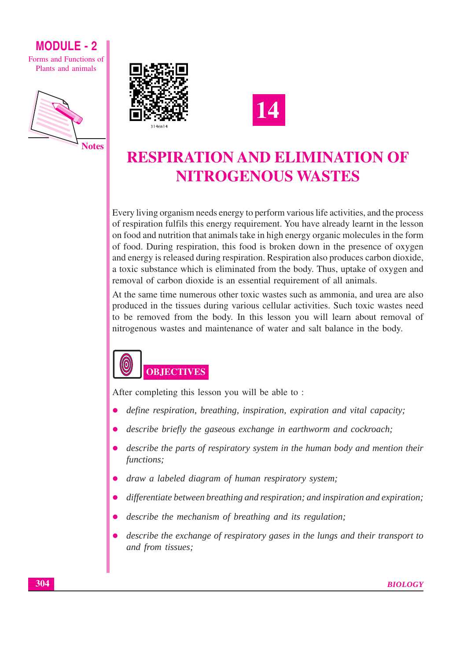Forms and Functions of Plants and animals







# **RESPIRATION AND ELIMINATION OF NITROGENOUS WASTES**

Every living organism needs energy to perform various life activities, and the process of respiration fulfils this energy requirement. You have already learnt in the lesson on food and nutrition that animals take in high energy organic molecules in the form of food. During respiration, this food is broken down in the presence of oxygen and energy is released during respiration. Respiration also produces carbon dioxide, a toxic substance which is eliminated from the body. Thus, uptake of oxygen and removal of carbon dioxide is an essential requirement of all animals.

At the same time numerous other toxic wastes such as ammonia, and urea are also produced in the tissues during various cellular activities. Such toxic wastes need to be removed from the body. In this lesson you will learn about removal of nitrogenous wastes and maintenance of water and salt balance in the body.



After completing this lesson you will be able to:

- define respiration, breathing, inspiration, expiration and vital capacity;
- describe briefly the gaseous exchange in earthworm and cockroach;
- describe the parts of respiratory system in the human body and mention their functions:
- draw a labeled diagram of human respiratory system;
- differentiate between breathing and respiration; and inspiration and expiration;
- describe the mechanism of breathing and its regulation;
- describe the exchange of respiratory gases in the lungs and their transport to and from tissues: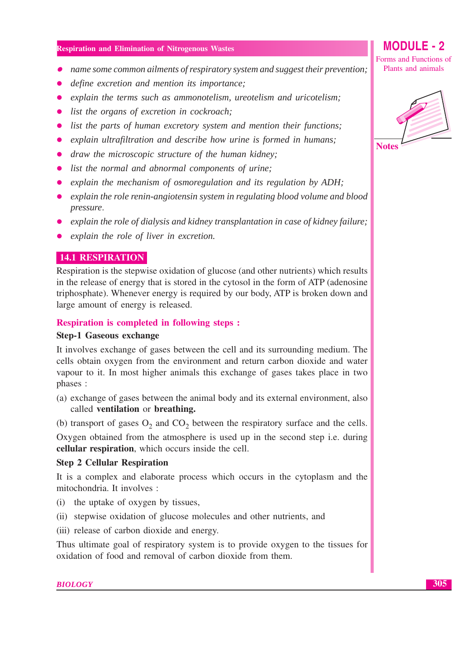- $\bullet$  name some common ailments of respiratory system and suggest their prevention;
- define excretion and mention its importance:
- explain the terms such as ammonotelism, ureotelism and uricotelism;
- list the organs of excretion in cockroach;
- list the parts of human excretory system and mention their functions;
- explain ultrafiltration and describe how urine is formed in humans;
- draw the microscopic structure of the human kidney;
- list the normal and abnormal components of urine:
- explain the mechanism of osmoregulation and its regulation by  $ADH$ ;
- explain the role renin-angiotensin system in regulating blood volume and blood pressure.
- explain the role of dialysis and kidney transplantation in case of kidney failure;
- explain the role of liver in excretion.

#### **14.1 RESPIRATION**

Respiration is the stepwise oxidation of glucose (and other nutrients) which results in the release of energy that is stored in the cytosol in the form of ATP (adenosine triphosphate). Whenever energy is required by our body, ATP is broken down and large amount of energy is released.

#### **Respiration is completed in following steps :**

#### **Step-1 Gaseous exchange**

It involves exchange of gases between the cell and its surrounding medium. The cells obtain oxygen from the environment and return carbon dioxide and water vapour to it. In most higher animals this exchange of gases takes place in two phases :

- (a) exchange of gases between the animal body and its external environment, also called ventilation or breathing.
- (b) transport of gases  $O_2$  and  $CO_2$  between the respiratory surface and the cells.

Oxygen obtained from the atmosphere is used up in the second step *i.e.* during cellular respiration, which occurs inside the cell.

#### **Step 2 Cellular Respiration**

It is a complex and elaborate process which occurs in the cytoplasm and the mitochondria. It involves :

- (i) the uptake of oxygen by tissues,
- (ii) stepwise oxidation of glucose molecules and other nutrients, and
- (iii) release of carbon dioxide and energy.

Thus ultimate goal of respiratory system is to provide oxygen to the tissues for oxidation of food and removal of carbon dioxide from them.

Forms and Functions of Plants and animals

**MODULE - 2** 

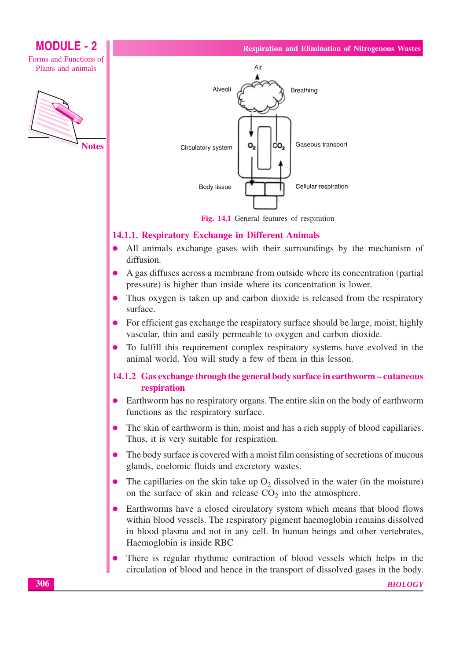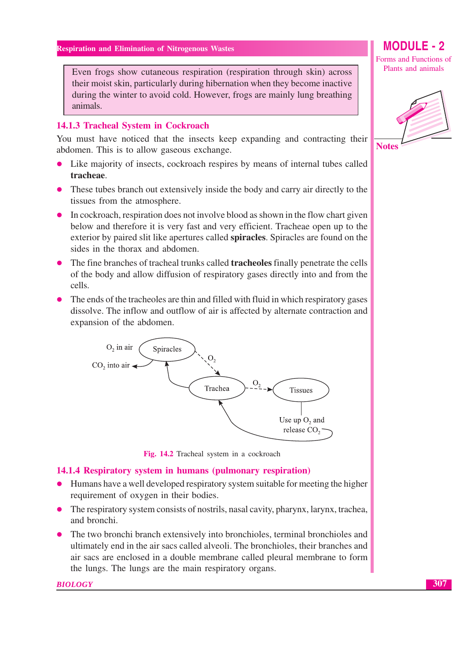Even frogs show cutaneous respiration (respiration through skin) across their moist skin, particularly during hibernation when they become inactive during the winter to avoid cold. However, frogs are mainly lung breathing animals.

#### 14.1.3 Tracheal System in Cockroach

You must have noticed that the insects keep expanding and contracting their abdomen. This is to allow gaseous exchange.

- Like majority of insects, cockroach respires by means of internal tubes called  $\bullet$ tracheae.
- These tubes branch out extensively inside the body and carry air directly to the tissues from the atmosphere.
- In cockroach, respiration does not involve blood as shown in the flow chart given below and therefore it is very fast and very efficient. Tracheae open up to the exterior by paired slit like apertures called spiracles. Spiracles are found on the sides in the thorax and abdomen.
- The fine branches of tracheal trunks called **tracheoles** finally penetrate the cells of the body and allow diffusion of respiratory gases directly into and from the cells.
- The ends of the tracheoles are thin and filled with fluid in which respiratory gases dissolve. The inflow and outflow of air is affected by alternate contraction and expansion of the abdomen.



Fig. 14.2 Tracheal system in a cockroach

#### 14.1.4 Respiratory system in humans (pulmonary respiration)

- Humans have a well developed respiratory system suitable for meeting the higher requirement of oxygen in their bodies.
- The respiratory system consists of nostrils, nasal cavity, pharynx, larynx, trachea, and bronchi.
- The two bronchi branch extensively into bronchioles, terminal bronchioles and ultimately end in the air sacs called alveoli. The bronchioles, their branches and air sacs are enclosed in a double membrane called pleural membrane to form the lungs. The lungs are the main respiratory organs.

**BIOLOGY** 

**MODULE - 2** 

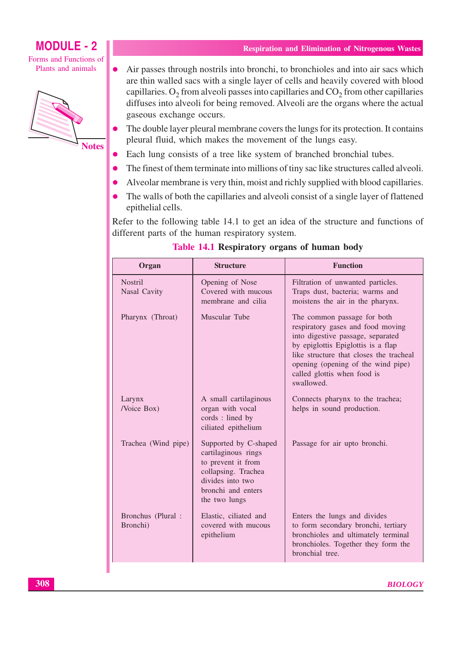Forms and Functions of Plants and animals



**Respiration and Elimination of Nitrogenous Wastes** 

- Air passes through nostrils into bronchi, to bronchioles and into air sacs which  $\bullet$ are thin walled sacs with a single layer of cells and heavily covered with blood capillaries.  $O_2$  from alveoli passes into capillaries and  $CO_2$  from other capillaries diffuses into alveoli for being removed. Alveoli are the organs where the actual gaseous exchange occurs.
- The double layer pleural membrane covers the lungs for its protection. It contains pleural fluid, which makes the movement of the lungs easy.
- Each lung consists of a tree like system of branched bronchial tubes.
- The finest of them terminate into millions of tiny sac like structures called alveoli.
- Alveolar membrane is very thin, moist and richly supplied with blood capillaries.
- The walls of both the capillaries and alveoli consist of a single layer of flattened epithelial cells.

Refer to the following table 14.1 to get an idea of the structure and functions of different parts of the human respiratory system.

| Organ                          | <b>Structure</b>                                                                                                                                     | <b>Function</b>                                                                                                                                                                                                                                                           |
|--------------------------------|------------------------------------------------------------------------------------------------------------------------------------------------------|---------------------------------------------------------------------------------------------------------------------------------------------------------------------------------------------------------------------------------------------------------------------------|
| <b>Nostril</b><br>Nasal Cavity | Opening of Nose<br>Covered with mucous<br>membrane and cilia                                                                                         | Filtration of unwanted particles.<br>Traps dust, bacteria; warms and<br>moistens the air in the pharynx.                                                                                                                                                                  |
| Pharynx (Throat)               | Muscular Tube                                                                                                                                        | The common passage for both<br>respiratory gases and food moving<br>into digestive passage, separated<br>by epiglottis Epiglottis is a flap<br>like structure that closes the tracheal<br>opening (opening of the wind pipe)<br>called glottis when food is<br>swallowed. |
| Larynx<br>/Voice Box)          | A small cartilaginous<br>organ with vocal<br>cords: lined by<br>ciliated epithelium                                                                  | Connects pharynx to the trachea;<br>helps in sound production.                                                                                                                                                                                                            |
| Trachea (Wind pipe)            | Supported by C-shaped<br>cartilaginous rings<br>to prevent it from<br>collapsing. Trachea<br>divides into two<br>bronchi and enters<br>the two lungs | Passage for air upto bronchi.                                                                                                                                                                                                                                             |
| Bronchus (Plural:<br>Bronchi)  | Elastic, ciliated and<br>covered with mucous<br>epithelium                                                                                           | Enters the lungs and divides<br>to form secondary bronchi, tertiary<br>bronchioles and ultimately terminal<br>bronchioles. Together they form the<br>bronchial tree.                                                                                                      |

#### Table 14.1 Respiratory organs of human body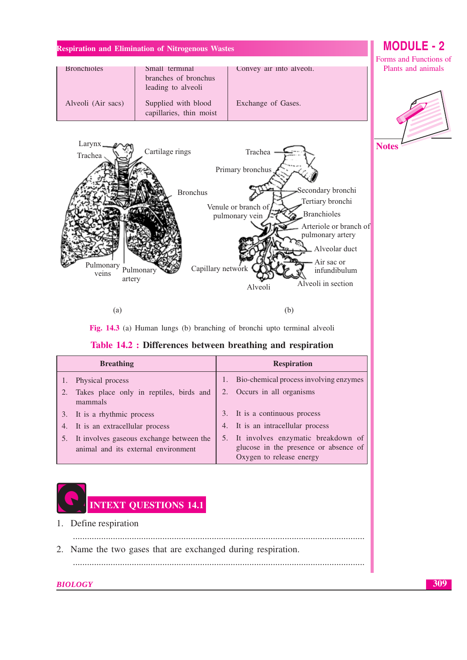|                    |                                                |                          | Forms and Functions of |
|--------------------|------------------------------------------------|--------------------------|------------------------|
| <b>Bronchioles</b> | Small terminal                                 | Convey air into alveoli. | Plants and animals     |
|                    | branches of bronchus                           |                          |                        |
|                    | leading to alveoli                             |                          |                        |
| Alveoli (Air sacs) | Supplied with blood<br>capillaries, thin moist | Exchange of Gases.       |                        |



 $(a)$ 

Fig. 14.3 (a) Human lungs (b) branching of bronchi upto terminal alveoli

 $(b)$ 



| <b>Breathing</b>                                                                   | <b>Respiration</b>                                                                                         |
|------------------------------------------------------------------------------------|------------------------------------------------------------------------------------------------------------|
| Physical process                                                                   | Bio-chemical process involving enzymes                                                                     |
| Takes place only in reptiles, birds and<br>mammals                                 | 2. Occurs in all organisms                                                                                 |
| 3. It is a rhythmic process                                                        | 3. It is a continuous process                                                                              |
| 4. It is an extracellular process                                                  | 4. It is an intracellular process                                                                          |
| 5. It involves gaseous exchange between the<br>animal and its external environment | 5. It involves enzymatic breakdown of<br>glucose in the presence or absence of<br>Oxygen to release energy |



1. Define respiration

2. Name the two gases that are exchanged during respiration.

**BIOLOGY** 

**MODULE - 2** 

**Notes**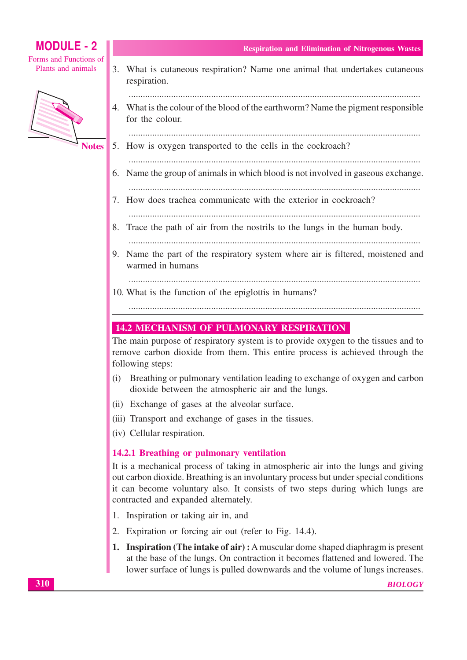Forms and Functions of Plants and animals



- for the colour. 5. How is oxygen transported to the cells in the cockroach? 6. Name the group of animals in which blood is not involved in gaseous exchange. 8. Trace the path of air from the nostrils to the lungs in the human body. warmed in humans **14.2 MECHANISM OF PULMONARY RESPIRATION** dioxide between the atmospheric air and the lungs. (ii) Exchange of gases at the alveolar surface.
- (iii) Transport and exchange of gases in the tissues.
- (iv) Cellular respiration.

## 14.2.1 Breathing or pulmonary ventilation

It is a mechanical process of taking in atmospheric air into the lungs and giving out carbon dioxide. Breathing is an involuntary process but under special conditions it can become voluntary also. It consists of two steps during which lungs are contracted and expanded alternately.

- 1. Inspiration or taking air in, and
- 2. Expiration or forcing air out (refer to Fig. 14.4).
- 1. Inspiration (The intake of air): A muscular dome shaped diaphragm is present at the base of the lungs. On contraction it becomes flattened and lowered. The lower surface of lungs is pulled downwards and the volume of lungs increases.

## **Respiration and Elimination of Nitrogenous Wastes**

3. What is cutaneous respiration? Name one animal that undertakes cutaneous

respiration.

4. What is the colour of the blood of the earthworm? Name the pigment responsible

- 
- 
- 7. How does trachea communicate with the exterior in cockroach?

- 
- 9. Name the part of the respiratory system where air is filtered, moistened and
- 10. What is the function of the epiglottis in humans?

The main purpose of respiratory system is to provide oxygen to the tissues and to remove carbon dioxide from them. This entire process is achieved through the following steps:

- $(i)$ Breathing or pulmonary ventilation leading to exchange of oxygen and carbon
- 
- 
-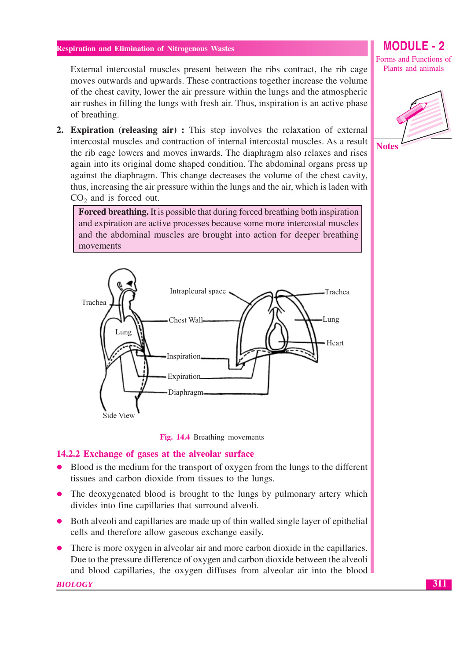External intercostal muscles present between the ribs contract, the rib cage moves outwards and upwards. These contractions together increase the volume of the chest cavity, lower the air pressure within the lungs and the atmospheric air rushes in filling the lungs with fresh air. Thus, inspiration is an active phase of breathing.

2. Expiration (releasing air) : This step involves the relaxation of external intercostal muscles and contraction of internal intercostal muscles. As a result the rib cage lowers and moves inwards. The diaphragm also relaxes and rises again into its original dome shaped condition. The abdominal organs press up against the diaphragm. This change decreases the volume of the chest cavity, thus, increasing the air pressure within the lungs and the air, which is laden with  $CO<sub>2</sub>$  and is forced out.

**Forced breathing.** It is possible that during forced breathing both inspiration and expiration are active processes because some more intercostal muscles and the abdominal muscles are brought into action for deeper breathing movements





#### 14.2.2 Exchange of gases at the alveolar surface

- Blood is the medium for the transport of oxygen from the lungs to the different tissues and carbon dioxide from tissues to the lungs.
- The deoxygenated blood is brought to the lungs by pulmonary artery which divides into fine capillaries that surround alveoli.
- Both alveoli and capillaries are made up of thin walled single layer of epithelial cells and therefore allow gaseous exchange easily.
- There is more oxygen in alveolar air and more carbon dioxide in the capillaries. Due to the pressure difference of oxygen and carbon dioxide between the alveoli and blood capillaries, the oxygen diffuses from alveolar air into the blood

**BIOLOGY** 

## **MODULE - 2**

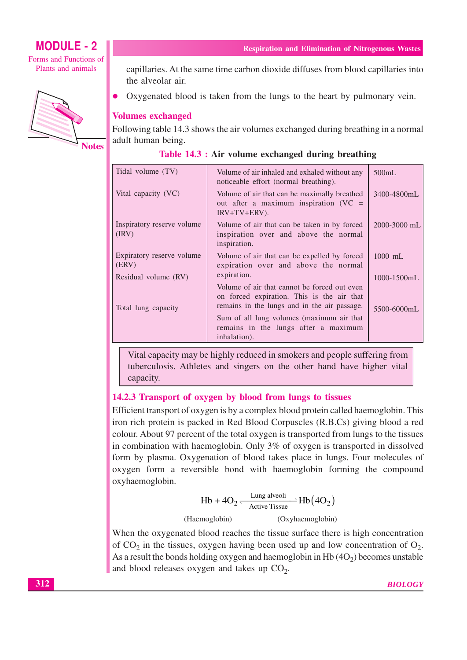

Forms and Functions of Plants and animals



**Notes** 

**Respiration and Elimination of Nitrogenous Wastes** 

capillaries. At the same time carbon dioxide diffuses from blood capillaries into the alveolar air.

Oxygenated blood is taken from the lungs to the heart by pulmonary vein.

#### **Volumes exchanged**

Following table 14.3 shows the air volumes exchanged during breathing in a normal adult human being.

| Table 14.3 : Air volume exchanged during breathing |  |  |  |  |  |  |  |
|----------------------------------------------------|--|--|--|--|--|--|--|
|----------------------------------------------------|--|--|--|--|--|--|--|

| Tidal volume (TV)                                          | Volume of air inhaled and exhaled without any<br>noticeable effort (normal breathing).                                                     | 500mL            |
|------------------------------------------------------------|--------------------------------------------------------------------------------------------------------------------------------------------|------------------|
| Vital capacity (VC)                                        | Volume of air that can be maximally breathed<br>out after a maximum inspiration ( $VC =$<br>$IRV+TV+ERV$ ).                                | 3400-4800mL      |
| Inspiratory reserve volume<br>$\langle \text{IRV} \rangle$ | Volume of air that can be taken in by forced<br>inspiration over and above the normal<br>inspiration.                                      | 2000-3000 mL     |
| Expiratory reserve volume<br>(ERV)                         | Volume of air that can be expelled by forced<br>expiration over and above the normal                                                       | $1000$ mL        |
| Residual volume (RV)                                       | expiration.                                                                                                                                | $1000 - 1500$ mL |
| Total lung capacity                                        | Volume of air that cannot be forced out even<br>on forced expiration. This is the air that<br>remains in the lungs and in the air passage. | 5500-6000mL      |
|                                                            | Sum of all lung volumes (maximum air that<br>remains in the lungs after a maximum<br>inhalation).                                          |                  |

Vital capacity may be highly reduced in smokers and people suffering from tuberculosis. Athletes and singers on the other hand have higher vital capacity.

#### 14.2.3 Transport of oxygen by blood from lungs to tissues

Efficient transport of oxygen is by a complex blood protein called haemoglobin. This iron rich protein is packed in Red Blood Corpuscles (R.B.Cs) giving blood a red colour. About 97 percent of the total oxygen is transported from lungs to the tissues in combination with haemoglobin. Only 3% of oxygen is transported in dissolved form by plasma. Oxygenation of blood takes place in lungs. Four molecules of oxygen form a reversible bond with haemoglobin forming the compound oxyhaemoglobin.

Hb + 4O<sub>2</sub> 
$$
\xrightarrow{\text{Lung alveoli}}
$$
 Hb(4O<sub>2</sub>)  
(Haemoglobin) (Oxyhaemoglobin)

When the oxygenated blood reaches the tissue surface there is high concentration of  $CO<sub>2</sub>$  in the tissues, oxygen having been used up and low concentration of  $O<sub>2</sub>$ . As a result the bonds holding oxygen and haemoglobin in Hb $(4O<sub>2</sub>)$  becomes unstable and blood releases oxygen and takes up  $CO<sub>2</sub>$ .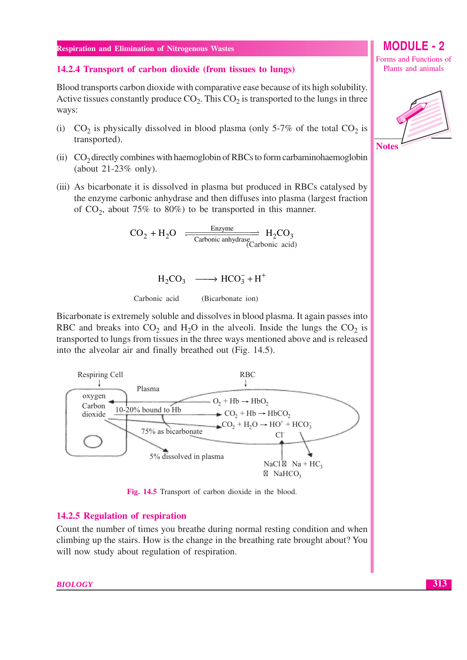#### 14.2.4 Transport of carbon dioxide (from tissues to lungs)

Blood transports carbon dioxide with comparative ease because of its high solubility. Active tissues constantly produce  $CO<sub>2</sub>$ . This  $CO<sub>2</sub>$  is transported to the lungs in three ways:

- (i)  $CO_2$  is physically dissolved in blood plasma (only 5-7% of the total  $CO_2$  is transported).
- (ii)  $CO<sub>2</sub>$  directly combines with haemoglobin of RBCs to form carbaminohaemoglobin (about  $21-23\%$  only).
- (iii) As bicarbonate it is dissolved in plasma but produced in RBCs catalysed by the enzyme carbonic anhydrase and then diffuses into plasma (largest fraction of  $CO_2$ , about 75% to 80%) to be transported in this manner.

$$
CO_2 + H_2O \xrightarrow{Enzyme} H_2CO_3
$$
  
Carbonic anhydrase (Carbonic acid)

$$
H_2CO_3 \longrightarrow HCO_3^- + H^+
$$

Carbonic acid (Bicarbonate ion)

Bicarbonate is extremely soluble and dissolves in blood plasma. It again passes into RBC and breaks into  $CO_2$  and H<sub>2</sub>O in the alveoli. Inside the lungs the  $CO_2$  is transported to lungs from tissues in the three ways mentioned above and is released into the alveolar air and finally breathed out (Fig. 14.5).



Fig. 14.5 Transport of carbon dioxide in the blood.

#### 14.2.5 Regulation of respiration

Count the number of times you breathe during normal resting condition and when climbing up the stairs. How is the change in the breathing rate brought about? You will now study about regulation of respiration.

#### **MODUL** Forms and Functions of

Plants and animals

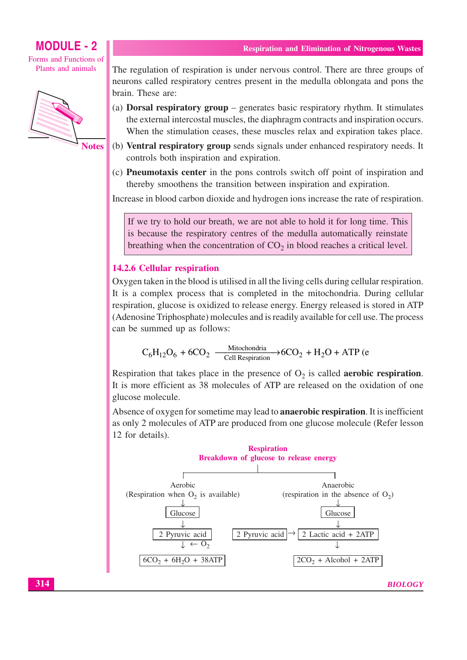Forms and Functions of Plants and animals



**Notes** 

The regulation of respiration is under nervous control. There are three groups of neurons called respiratory centres present in the medulla oblongata and pons the brain. These are:

- (a) Dorsal respiratory group  $-$  generates basic respiratory rhythm. It stimulates the external intercostal muscles, the diaphragm contracts and inspiration occurs. When the stimulation ceases, these muscles relax and expiration takes place.
- (b) Ventral respiratory group sends signals under enhanced respiratory needs. It controls both inspiration and expiration.
- (c) **Pneumotaxis center** in the pons controls switch off point of inspiration and thereby smoothens the transition between inspiration and expiration.

Increase in blood carbon dioxide and hydrogen ions increase the rate of respiration.

If we try to hold our breath, we are not able to hold it for long time. This is because the respiratory centres of the medulla automatically reinstate breathing when the concentration of  $CO<sub>2</sub>$  in blood reaches a critical level.

#### **14.2.6 Cellular respiration**

Oxygen taken in the blood is utilised in all the living cells during cellular respiration. It is a complex process that is completed in the mitochondria. During cellular respiration, glucose is oxidized to release energy. Energy released is stored in ATP (Adenosine Triphosphate) molecules and is readily available for cell use. The process can be summed up as follows:

$$
C_6H_{12}O_6 + 6CO_2 \xrightarrow{Mitochondria} 6CO_2 + H_2O + ATP \ (e
$$

Respiration that takes place in the presence of  $O_2$  is called **aerobic respiration**. It is more efficient as 38 molecules of ATP are released on the oxidation of one glucose molecule.

Absence of oxygen for sometime may lead to **anaerobic respiration**. It is inefficient as only 2 molecules of ATP are produced from one glucose molecule (Refer lesson 12 for details).



**BIOLOGY**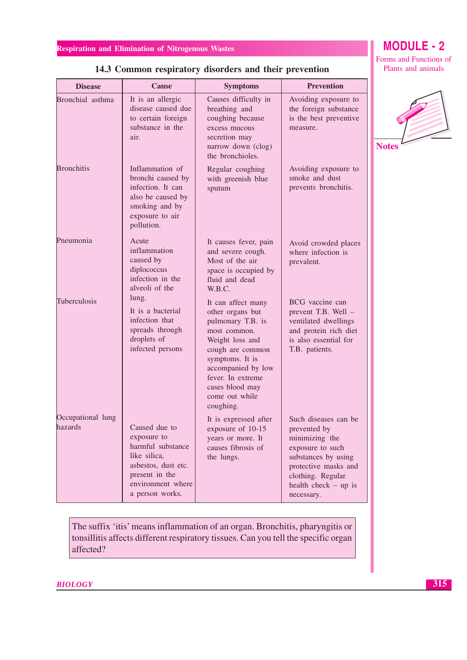| <b>Disease</b>               | Cause                                                                                                                                              | <b>Symptoms</b>                                                                                                                                                                                                                    | <b>Prevention</b>                                                                                                                                                                      |
|------------------------------|----------------------------------------------------------------------------------------------------------------------------------------------------|------------------------------------------------------------------------------------------------------------------------------------------------------------------------------------------------------------------------------------|----------------------------------------------------------------------------------------------------------------------------------------------------------------------------------------|
| Bronchial asthma             | It is an allergic<br>disease caused due<br>to certain foreign<br>substance in the<br>air.                                                          | Causes difficulty in<br>breathing and<br>coughing because<br>excess mucous<br>secretion may<br>narrow down (clog)<br>the bronchioles.                                                                                              | Avoiding exposure to<br>the foreign substance<br>is the best preventive<br>measure.                                                                                                    |
| <b>Bronchitis</b>            | Inflammation of<br>bronchi caused by<br>infection. It can<br>also be caused by<br>smoking and by<br>exposure to air<br>pollution.                  | Regular coughing<br>with greenish blue<br>sputum                                                                                                                                                                                   | Avoiding exposure to<br>smoke and dust<br>prevents bronchitis.                                                                                                                         |
| Pneumonia                    | Acute<br>inflammation<br>caused by<br>diplococcus<br>infection in the<br>alveoli of the                                                            | It causes fever, pain<br>and severe cough.<br>Most of the air<br>space is occupied by<br>fluid and dead<br>W.B.C.                                                                                                                  | Avoid crowded places<br>where infection is<br>prevalent.                                                                                                                               |
| Tuberculosis                 | lung.<br>It is a bacterial<br>infection that<br>spreads through<br>droplets of<br>infected persons                                                 | It can affect many<br>other organs but<br>pulmonary T.B. is<br>most common.<br>Weight loss and<br>cough are common<br>symptoms. It is<br>accompanied by low<br>fever. In extreme<br>cases blood may<br>come out while<br>coughing. | BCG vaccine can<br>prevent T.B. Well -<br>ventilated dwellings<br>and protein rich diet<br>is also essential for<br>T.B. patients.                                                     |
| Occupational lung<br>hazards | Caused due to<br>exposure to<br>harmful substance<br>like silica,<br>asbestos, dust etc.<br>present in the<br>environment where<br>a person works. | It is expressed after<br>exposure of 10-15<br>years or more. It<br>causes fibrosis of<br>the lungs.                                                                                                                                | Such diseases can be<br>prevented by<br>minimizing the<br>exposure to such<br>substances by using<br>protective masks and<br>clothing. Regular<br>health check $-$ up is<br>necessary. |

## 14.3 Common respiratory disorders and their prevention

The suffix 'itis' means inflammation of an organ. Bronchitis, pharyngitis or tonsillitis affects different respiratory tissues. Can you tell the specific organ affected?

$$
\begin{array}{|c|c|}\n\hline\n\text{Notes}\n\end{array}
$$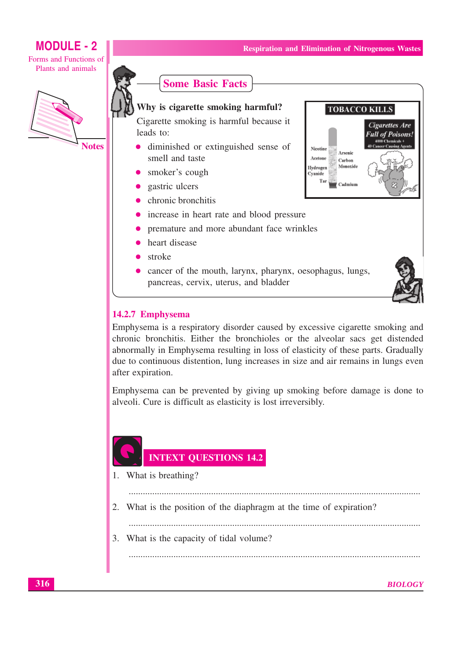Nicotine

Acetone

Hydroger

Cyanide Tа

**TOBACCO KILLS** 

Arsenic

Carbon Monoxide

Cadmiun

Cigarettes Are

**Full of Poisons!** 

## **MODULE - 2**

Forms and Functions of Plants and animals



**Notes** 



#### Why is cigarette smoking harmful?

Cigarette smoking is harmful because it leads to:

- diminished or extinguished sense of smell and taste
- smoker's cough
- gastric ulcers
- chronic bronchitis
- increase in heart rate and blood pressure
- premature and more abundant face wrinkles
- heart disease
- stroke
- cancer of the mouth, larynx, pharynx, oesophagus, lungs, pancreas, cervix, uterus, and bladder



#### 14.2.7 Emphysema

Emphysema is a respiratory disorder caused by excessive cigarette smoking and chronic bronchitis. Either the bronchioles or the alveolar sacs get distended abnormally in Emphysema resulting in loss of elasticity of these parts. Gradually due to continuous distention, lung increases in size and air remains in lungs even after expiration.

Emphysema can be prevented by giving up smoking before damage is done to alveoli. Cure is difficult as elasticity is lost irreversibly.

## **INTEXT QUESTIONS 14.2**

1. What is breathing?

2. What is the position of the diaphragm at the time of expiration?

3. What is the capacity of tidal volume?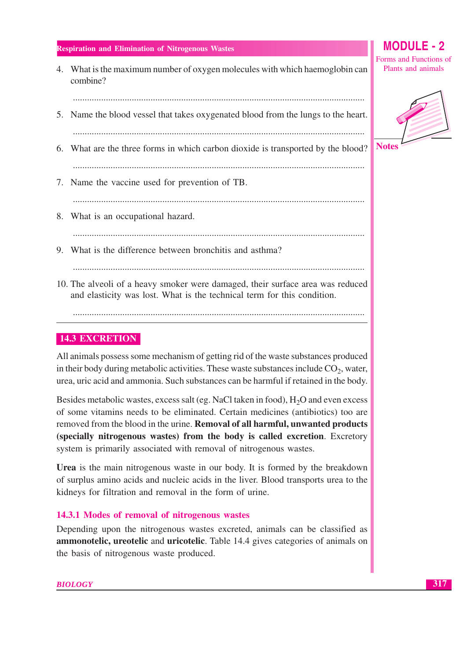4. What is the maximum number of oxygen molecules with which haemoglobin can combine?

- 5. Name the blood vessel that takes oxygenated blood from the lungs to the heart.
- 6. What are the three forms in which carbon dioxide is transported by the blood?

- 7. Name the vaccine used for prevention of TB.
- 8. What is an occupational hazard.
- 9. What is the difference between bronchitis and asthma?

10. The alveoli of a heavy smoker were damaged, their surface area was reduced and elasticity was lost. What is the technical term for this condition.

## **14.3 EXCRETION**

All animals possess some mechanism of getting rid of the waste substances produced in their body during metabolic activities. These waste substances include  $CO<sub>2</sub>$ , water, urea, uric acid and ammonia. Such substances can be harmful if retained in the body.

Besides metabolic wastes, excess salt (eg. NaCl taken in food), H<sub>2</sub>O and even excess of some vitamins needs to be eliminated. Certain medicines (antibiotics) too are removed from the blood in the urine. Removal of all harmful, unwanted products (specially nitrogenous wastes) from the body is called excretion. Excretory system is primarily associated with removal of nitrogenous wastes.

**Urea** is the main nitrogenous waste in our body. It is formed by the breakdown of surplus amino acids and nucleic acids in the liver. Blood transports urea to the kidneys for filtration and removal in the form of urine.

## 14.3.1 Modes of removal of nitrogenous wastes

Depending upon the nitrogenous wastes excreted, animals can be classified as **ammonotelic, ureotelic** and **uricotelic**. Table 14.4 gives categories of animals on the basis of nitrogenous waste produced.



## MODIII F  $-2$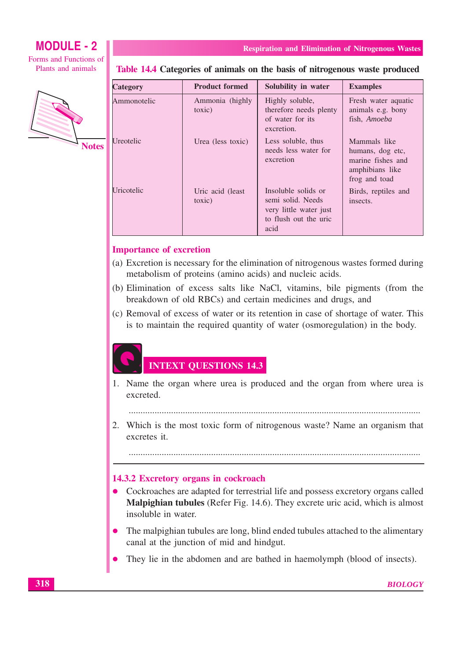Forms and Functions of Plants and animals



Table 14.4 Categories of animals on the basis of nitrogenous waste produced

**Respiration and Elimination of Nitrogenous Wastes** 

| <b>Category</b> | <b>Product formed</b>       | Solubility in water                                                                                 | <b>Examples</b>                                                                           |
|-----------------|-----------------------------|-----------------------------------------------------------------------------------------------------|-------------------------------------------------------------------------------------------|
| Ammonotelic     | Ammonia (highly<br>toxic)   | Highly soluble,<br>therefore needs plenty<br>of water for its<br>excretion.                         | Fresh water aquatic<br>animals e.g. bony<br>fish, Amoeba                                  |
| Ureotelic       | Urea (less toxic)           | Less soluble, thus<br>needs less water for<br>excretion                                             | Mammals like<br>humans, dog etc,<br>marine fishes and<br>amphibians like<br>frog and toad |
| Uricotelic      | Uric acid (least)<br>toxic) | Insoluble solids or<br>semi solid. Needs<br>very little water just<br>to flush out the uric<br>acid | Birds, reptiles and<br>insects.                                                           |

#### **Importance of excretion**

- (a) Excretion is necessary for the elimination of nitrogenous wastes formed during metabolism of proteins (amino acids) and nucleic acids.
- (b) Elimination of excess salts like NaCl, vitamins, bile pigments (from the breakdown of old RBCs) and certain medicines and drugs, and
- (c) Removal of excess of water or its retention in case of shortage of water. This is to maintain the required quantity of water (osmoregulation) in the body.

## **INTEXT QUESTIONS 14.3**

1. Name the organ where urea is produced and the organ from where urea is excreted.

2. Which is the most toxic form of nitrogenous waste? Name an organism that excretes it.

#### 

#### 14.3.2 Excretory organs in cockroach

- Cockroaches are adapted for terrestrial life and possess excretory organs called  $\bullet$ Malpighian tubules (Refer Fig. 14.6). They excrete uric acid, which is almost insoluble in water.
- The malpighian tubules are long, blind ended tubules attached to the alimentary canal at the junction of mid and hindgut.
- They lie in the abdomen and are bathed in haemolymph (blood of insects).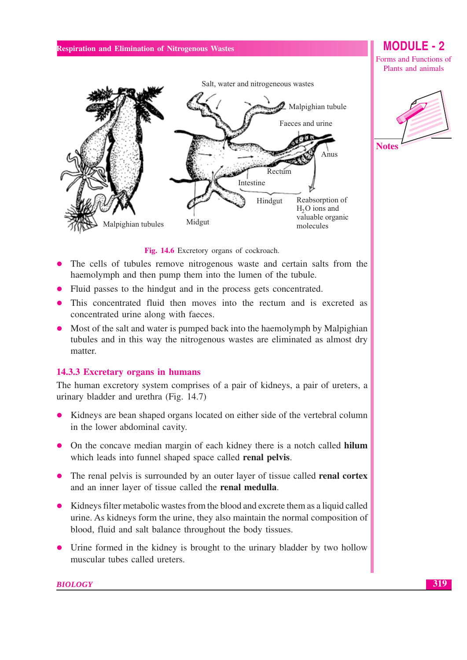## Salt, water and nitrogeneous wastes Malpighian tubule Faeces and urine Anus Rectum Intestine Reabsorption of Hindgut  $H<sub>2</sub>O$  ions and valuable organic Midgut Malpighian tubules molecules



**MODULE - 2** 

Forms and Functions of

Fig. 14.6 Excretory organs of cockroach.

- The cells of tubules remove nitrogenous waste and certain salts from the haemolymph and then pump them into the lumen of the tubule.
- Fluid passes to the hindgut and in the process gets concentrated.
- This concentrated fluid then moves into the rectum and is excreted as concentrated urine along with faeces.
- Most of the salt and water is pumped back into the haemolymph by Malpighian tubules and in this way the nitrogenous wastes are eliminated as almost dry matter.

#### 14.3.3 Excretary organs in humans

The human excretory system comprises of a pair of kidneys, a pair of ureters, a urinary bladder and urethra (Fig. 14.7)

- Kidneys are bean shaped organs located on either side of the vertebral column in the lower abdominal cavity.
- On the concave median margin of each kidney there is a notch called hilum which leads into funnel shaped space called renal pelvis.
- The renal pelvis is surrounded by an outer layer of tissue called **renal cortex** and an inner layer of tissue called the renal medulla.
- Kidneys filter metabolic wastes from the blood and excrete them as a liquid called urine. As kidneys form the urine, they also maintain the normal composition of blood, fluid and salt balance throughout the body tissues.
- Urine formed in the kidney is brought to the urinary bladder by two hollow muscular tubes called ureters.

#### **BIOLOGY**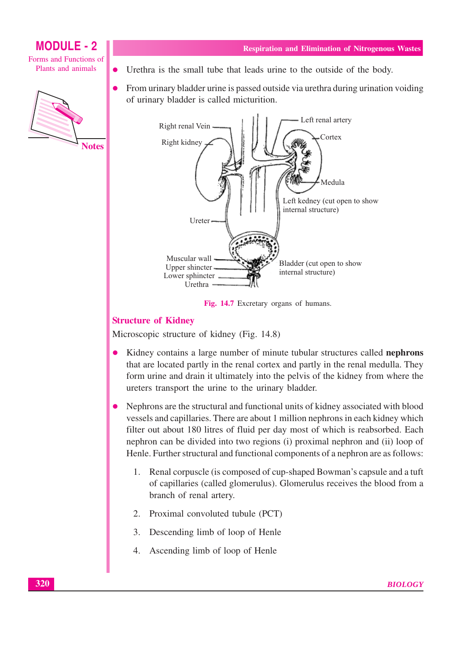Forms and Functions of Plants and animals



- **Respiration and Elimination of Nitrogenous Wastes**
- Urethra is the small tube that leads urine to the outside of the body.
- From urinary bladder urine is passed outside via urethra during urination voiding  $\bullet$ of urinary bladder is called micturition.



Fig. 14.7 Excretary organs of humans.

## **Structure of Kidney**

Microscopic structure of kidney (Fig. 14.8)

- Kidney contains a large number of minute tubular structures called nephrons  $\bullet$ that are located partly in the renal cortex and partly in the renal medulla. They form urine and drain it ultimately into the pelvis of the kidney from where the ureters transport the urine to the urinary bladder.
- Nephrons are the structural and functional units of kidney associated with blood vessels and capillaries. There are about 1 million nephrons in each kidney which filter out about 180 litres of fluid per day most of which is reabsorbed. Each nephron can be divided into two regions (i) proximal nephron and (ii) loop of Henle. Further structural and functional components of a nephron are as follows:
	- Renal corpuscle (is composed of cup-shaped Bowman's capsule and a tuft  $1.$ of capillaries (called glomerulus). Glomerulus receives the blood from a branch of renal artery.
	- 2. Proximal convoluted tubule (PCT)
	- Descending limb of loop of Henle  $3.$
	- 4. Ascending limb of loop of Henle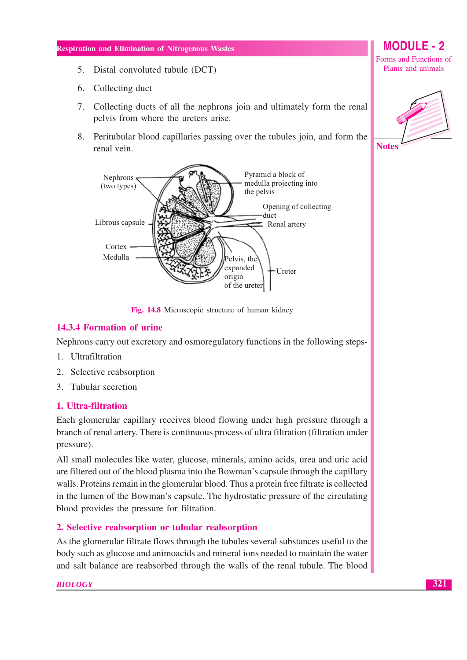- 5. Distal convoluted tubule (DCT)
- 6. Collecting duct
- 7. Collecting ducts of all the nephrons join and ultimately form the renal pelvis from where the ureters arise.
- 8. Peritubular blood capillaries passing over the tubules join, and form the renal vein.



Fig. 14.8 Microscopic structure of human kidney

#### 14.3.4 Formation of urine

Nephrons carry out excretory and osmoregulatory functions in the following steps-

- 1. Ultrafiltration
- 2. Selective reabsorption
- 3. Tubular secretion

#### 1. Ultra-filtration

Each glomerular capillary receives blood flowing under high pressure through a branch of renal artery. There is continuous process of ultra filtration (filtration under pressure).

All small molecules like water, glucose, minerals, amino acids, urea and uric acid are filtered out of the blood plasma into the Bowman's capsule through the capillary walls. Proteins remain in the glomerular blood. Thus a protein free filtrate is collected in the lumen of the Bowman's capsule. The hydrostatic pressure of the circulating blood provides the pressure for filtration.

#### 2. Selective reabsorption or tubular reabsorption

As the glomerular filtrate flows through the tubules several substances useful to the body such as glucose and animoacids and mineral ions needed to maintain the water and salt balance are reabsorbed through the walls of the renal tubule. The blood

#### **BIOLOGY**

**MODULE - 2** 

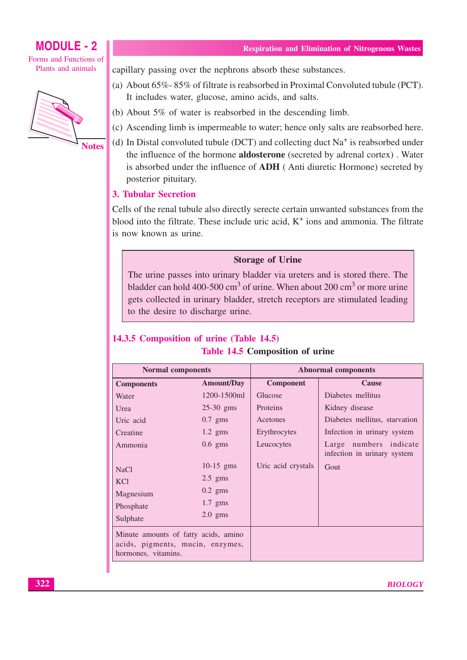Forms and Functions of Plants and animals



**Respiration and Elimination of Nitrogenous Wastes** 

capillary passing over the nephrons absorb these substances.

- (a) About 65%-85% of filtrate is reabsorbed in Proximal Convoluted tubule (PCT). It includes water, glucose, amino acids, and salts.
- (b) About  $5\%$  of water is reabsorbed in the descending limb.
- (c) Ascending limb is impermeable to water; hence only salts are reabsorbed here.
- (d) In Distal convoluted tubule (DCT) and collecting duct  $Na<sup>+</sup>$  is reabsorbed under the influence of the hormone **aldosterone** (secreted by adrenal cortex). Water is absorbed under the influence of ADH (Anti diuretic Hormone) secreted by posterior pituitary.

#### **3. Tubular Secretion**

Cells of the renal tubule also directly serecte certain unwanted substances from the blood into the filtrate. These include uric acid,  $K^+$  ions and ammonia. The filtrate is now known as urine.

#### **Storage of Urine**

The urine passes into urinary bladder via ureters and is stored there. The bladder can hold 400-500  $\text{cm}^3$  of urine. When about 200  $\text{cm}^3$  or more urine gets collected in urinary bladder, stretch receptors are stimulated leading to the desire to discharge urine.

## 14.3.5 Composition of urine (Table 14.5)

| Table 14.5 Composition of urine                                                                 |                   |                            |                                                       |  |
|-------------------------------------------------------------------------------------------------|-------------------|----------------------------|-------------------------------------------------------|--|
| <b>Normal components</b>                                                                        |                   | <b>Abnormal components</b> |                                                       |  |
| <b>Components</b>                                                                               | <b>Amount/Day</b> | <b>Component</b>           | Cause                                                 |  |
| Water                                                                                           | 1200-1500ml       | Glucose                    | Diabetes mellitus                                     |  |
| Urea                                                                                            | $25-30$ gms       | Proteins                   | Kidney disease                                        |  |
| Uric acid                                                                                       | $0.7$ gms         | Acetones                   | Diabetes mellitus, starvation                         |  |
| Creatine                                                                                        | $1.2$ gms         | Erythrocytes               | Infection in urinary system                           |  |
| Ammonia                                                                                         | $0.6$ gms         | Leucocytes                 | Large numbers indicate<br>infection in urinary system |  |
| <b>NaCl</b>                                                                                     | $10-15$ gms       | Uric acid crystals         | Gout                                                  |  |
| <b>KCl</b>                                                                                      | $2.5$ gms         |                            |                                                       |  |
| Magnesium                                                                                       | $0.2$ gms         |                            |                                                       |  |
| Phosphate                                                                                       | $1.7$ gms         |                            |                                                       |  |
| Sulphate                                                                                        | $2.0$ gms         |                            |                                                       |  |
| Minute amounts of fatty acids, amino<br>acids, pigments, mucin, enzymes,<br>hormones, vitamins. |                   |                            |                                                       |  |
|                                                                                                 |                   |                            |                                                       |  |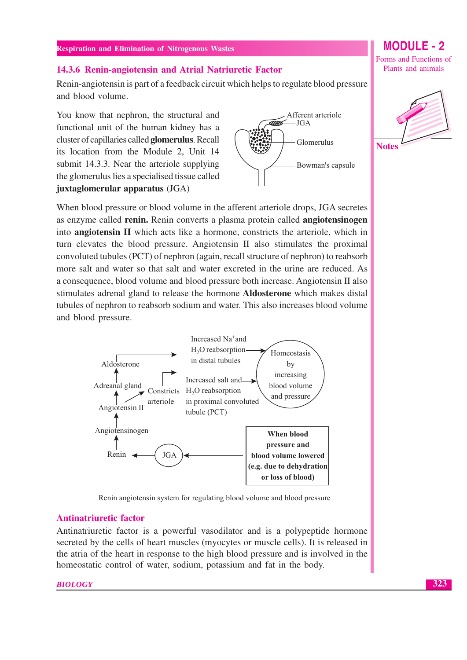#### 14.3.6 Renin-angiotensin and Atrial Natriuretic Factor

Renin-angiotensin is part of a feedback circuit which helps to regulate blood pressure and blood volume.

You know that nephron, the structural and functional unit of the human kidney has a cluster of capillaries called glomerulus. Recall its location from the Module 2, Unit 14 submit 14.3.3. Near the arteriole supplying the glomerulus lies a specialised tissue called juxtaglomerular apparatus (JGA)



Forms and Functions of Plants and animals

**MODULE - 2** 



When blood pressure or blood volume in the afferent arteriole drops, JGA secretes as enzyme called **renin**. Renin converts a plasma protein called **angiotensinogen** into angiotensin II which acts like a hormone, constricts the arteriole, which in turn elevates the blood pressure. Angiotensin II also stimulates the proximal convoluted tubules (PCT) of nephron (again, recall structure of nephron) to reabsorb more salt and water so that salt and water excreted in the urine are reduced. As a consequence, blood volume and blood pressure both increase. Angiotensin II also stimulates adrenal gland to release the hormone Aldosterone which makes distal tubules of nephron to reabsorb sodium and water. This also increases blood volume and blood pressure.





#### **Antinatriuretic factor**

Antinatriuretic factor is a powerful vasodilator and is a polypeptide hormone secreted by the cells of heart muscles (myocytes or muscle cells). It is released in the atria of the heart in response to the high blood pressure and is involved in the homeostatic control of water, sodium, potassium and fat in the body.

#### **BIOLOGY**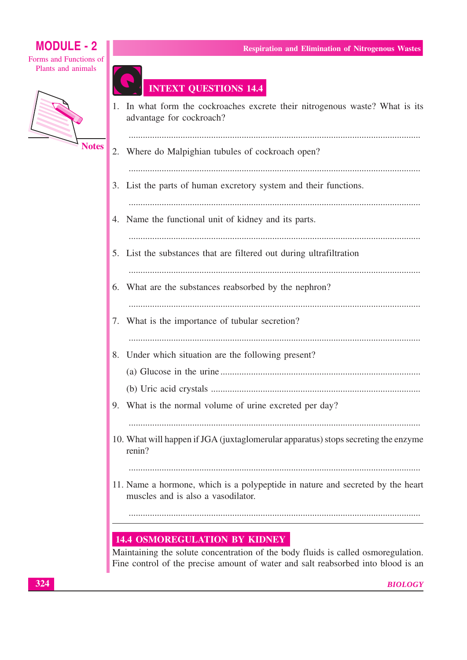Forms and Functions of Plants and animals



## **INTEXT QUESTIONS 14.4**

1. In what form the cockroaches excrete their nitrogenous waste? What is its advantage for cockroach? 

**Respiration and Elimination of Nitrogenous Wastes** 

- 2. Where do Malpighian tubules of cockroach open?
- 3. List the parts of human excretory system and their functions.
- 
- 4. Name the functional unit of kidney and its parts.
	-
- 5. List the substances that are filtered out during ultrafiltration
	-
- 6. What are the substances reabsorbed by the nephron?
	-
- 7. What is the importance of tubular secretion?
- 
- 8. Under which situation are the following present?
	-
- 9. What is the normal volume of urine excreted per day?
- 
- 10. What will happen if JGA (juxtaglomerular apparatus) stops secreting the enzyme renin?
	-
- 11. Name a hormone, which is a polypeptide in nature and secreted by the heart muscles and is also a vasodilator.

## **14.4 OSMOREGULATION BY KIDNEY**

Maintaining the solute concentration of the body fluids is called osmoregulation. Fine control of the precise amount of water and salt reabsorbed into blood is an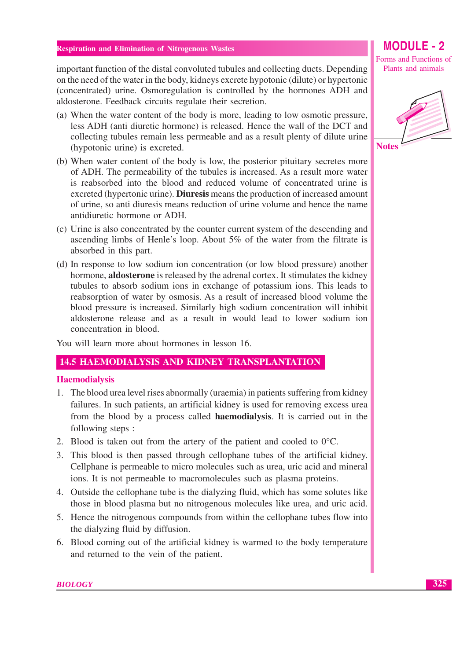important function of the distal convoluted tubules and collecting ducts. Depending on the need of the water in the body, kidneys excrete hypotonic (dilute) or hypertonic (concentrated) urine. Osmoregulation is controlled by the hormones ADH and aldosterone. Feedback circuits regulate their secretion.

- (a) When the water content of the body is more, leading to low osmotic pressure, less ADH (anti diuretic hormone) is released. Hence the wall of the DCT and collecting tubules remain less permeable and as a result plenty of dilute urine (hypotonic urine) is excreted.
- (b) When water content of the body is low, the posterior pituitary secretes more of ADH. The permeability of the tubules is increased. As a result more water is reabsorbed into the blood and reduced volume of concentrated urine is excreted (hypertonic urine). Diuresis means the production of increased amount of urine, so anti diuresis means reduction of urine volume and hence the name antidiuretic hormone or ADH.
- (c) Urine is also concentrated by the counter current system of the descending and ascending limbs of Henle's loop. About 5% of the water from the filtrate is absorbed in this part.
- (d) In response to low sodium ion concentration (or low blood pressure) another hormone, **aldosterone** is released by the adrenal cortex. It stimulates the kidney tubules to absorb sodium ions in exchange of potassium ions. This leads to reabsorption of water by osmosis. As a result of increased blood volume the blood pressure is increased. Similarly high sodium concentration will inhibit aldosterone release and as a result in would lead to lower sodium ion concentration in blood.

You will learn more about hormones in lesson 16.

#### **14.5 HAEMODIALYSIS AND KIDNEY TRANSPLANTATION**

#### **Haemodialysis**

- 1. The blood urea level rises abnormally (uraemia) in patients suffering from kidney failures. In such patients, an artificial kidney is used for removing excess urea from the blood by a process called **haemodialysis**. It is carried out in the following steps:
- 2. Blood is taken out from the artery of the patient and cooled to  $0^{\circ}$ C.
- 3. This blood is then passed through cellophane tubes of the artificial kidney. Cellphane is permeable to micro molecules such as urea, uric acid and mineral ions. It is not permeable to macromolecules such as plasma proteins.
- 4. Outside the cellophane tube is the dialyzing fluid, which has some solutes like those in blood plasma but no nitrogenous molecules like urea, and uric acid.
- 5. Hence the nitrogenous compounds from within the cellophane tubes flow into the dialyzing fluid by diffusion.
- 6. Blood coming out of the artificial kidney is warmed to the body temperature and returned to the vein of the patient.

Forms and Functions of Plants and animals

**MODULE - 2** 

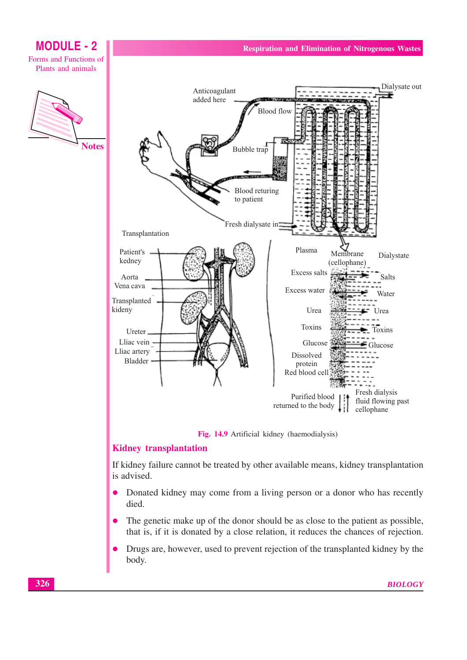

- Donated kidney may come from a living person or a donor who has recently  $\bullet$ died.
- The genetic make up of the donor should be as close to the patient as possible,  $\bullet$ that is, if it is donated by a close relation, it reduces the chances of rejection.
- Drugs are, however, used to prevent rejection of the transplanted kidney by the body.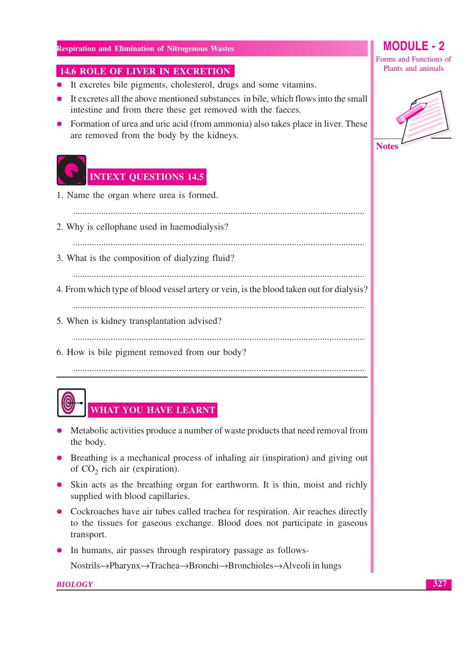### **14.6 ROLE OF LIVER IN EXCRETION**

- It excretes bile pigments, cholesterol, drugs and some vitamins.
- It excretes all the above mentioned substances in bile, which flows into the small intestine and from there these get removed with the faeces.
- Formation of urea and uric acid (from ammonia) also takes place in liver. These are removed from the body by the kidneys.



## **INTEXT QUESTIONS 14.5**

- 1. Name the organ where urea is formed.
- 2. Why is cellophane used in haemodialysis?
- 

3. What is the composition of dialyzing fluid?

4. From which type of blood vessel artery or vein, is the blood taken out for dialysis?

- 5. When is kidney transplantation advised?
	-
- 6. How is bile pigment removed from our body?



- Metabolic activities produce a number of waste products that need removal from the body.
- Breathing is a mechanical process of inhaling air (inspiration) and giving out of  $CO<sub>2</sub>$  rich air (expiration).
- Skin acts as the breathing organ for earthworm. It is thin, moist and richly supplied with blood capillaries.
- Cockroaches have air tubes called trachea for respiration. Air reaches directly to the tissues for gaseous exchange. Blood does not participate in gaseous transport.
- In humans, air passes through respiratory passage as follows-

Nostrils→Pharynx→Trachea→Bronchi→Bronchioles→Alveoli in lungs

**BIOLOGY** 

 $M$  $O$  $D$  $H$  $F$ . 2

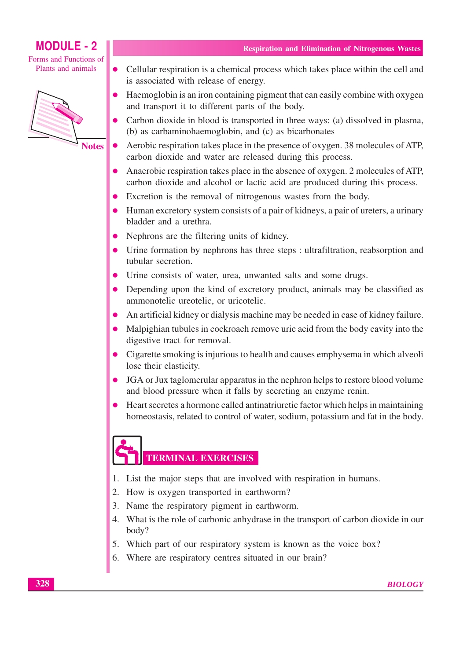Forms and Functions of Plants and animals



**Notes** 

- Cellular respiration is a chemical process which takes place within the cell and  $\bullet$ is associated with release of energy.
- Haemoglobin is an iron containing pigment that can easily combine with oxygen and transport it to different parts of the body.
- Carbon dioxide in blood is transported in three ways: (a) dissolved in plasma, (b) as carbaminohaemoglobin, and (c) as bicarbonates
- Aerobic respiration takes place in the presence of oxygen. 38 molecules of ATP,  $\bullet$ carbon dioxide and water are released during this process.
- Anaerobic respiration takes place in the absence of oxygen. 2 molecules of ATP, carbon dioxide and alcohol or lactic acid are produced during this process.
- Excretion is the removal of nitrogenous wastes from the body.
- Human excretory system consists of a pair of kidneys, a pair of ureters, a urinary bladder and a urethra.
- Nephrons are the filtering units of kidney.
- Urine formation by nephrons has three steps : ultrafiltration, reabsorption and tubular secretion.
- Urine consists of water, urea, unwanted salts and some drugs.
- Depending upon the kind of excretory product, animals may be classified as ammonotelic ureotelic, or uricotelic.
- An artificial kidney or dialysis machine may be needed in case of kidney failure.  $\bullet$
- Malpighian tubules in cockroach remove uric acid from the body cavity into the  $\bullet$ digestive tract for removal.
- Cigarette smoking is injurious to health and causes emphysema in which alveoli lose their elasticity.
- JGA or Jux taglomerular apparatus in the nephron helps to restore blood volume  $\bullet$ and blood pressure when it falls by secreting an enzyme renin.
- Heart secretes a hormone called antinatriuretic factor which helps in maintaining  $\bullet$ homeostasis, related to control of water, sodium, potassium and fat in the body.

# **TERMINAL EXERCISES**

- 1. List the major steps that are involved with respiration in humans.
- 2. How is oxygen transported in earthworm?
- 3. Name the respiratory pigment in earthworm.
- 4. What is the role of carbonic anhydrase in the transport of carbon dioxide in our body?
- 5. Which part of our respiratory system is known as the voice box?
- 6. Where are respiratory centres situated in our brain?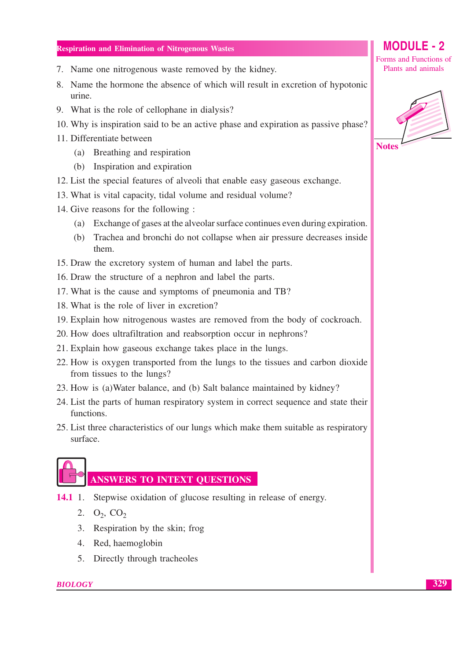- 7. Name one nitrogenous waste removed by the kidney.
- 8. Name the hormone the absence of which will result in excretion of hypotonic urine.
- 9. What is the role of cellophane in dialysis?
- 10. Why is inspiration said to be an active phase and expiration as passive phase?
- 11. Differentiate between
	- (a) Breathing and respiration
	- (b) Inspiration and expiration
- 12. List the special features of alveoli that enable easy gaseous exchange.
- 13. What is vital capacity, tidal volume and residual volume?
- 14. Give reasons for the following:
	- (a) Exchange of gases at the alveolar surface continues even during expiration.
	- (b) Trachea and bronchi do not collapse when air pressure decreases inside them.
- 15. Draw the excretory system of human and label the parts.
- 16. Draw the structure of a nephron and label the parts.
- 17. What is the cause and symptoms of pneumonia and TB?
- 18. What is the role of liver in excretion?
- 19. Explain how nitrogenous wastes are removed from the body of cockroach.
- 20. How does ultrafiltration and reabsorption occur in nephrons?
- 21. Explain how gaseous exchange takes place in the lungs.
- 22. How is oxygen transported from the lungs to the tissues and carbon dioxide from tissues to the lungs?
- 23. How is (a) Water balance, and (b) Salt balance maintained by kidney?
- 24. List the parts of human respiratory system in correct sequence and state their functions.
- 25. List three characteristics of our lungs which make them suitable as respiratory surface.



## **ANSWERS TO INTEXT QUESTIONS**

- $14.1 \t1.$ Stepwise oxidation of glucose resulting in release of energy.
	- 2.  $O_2$ ,  $CO_2$
	- 3. Respiration by the skin; frog
	- 4. Red, haemoglobin
	- 5. Directly through tracheoles



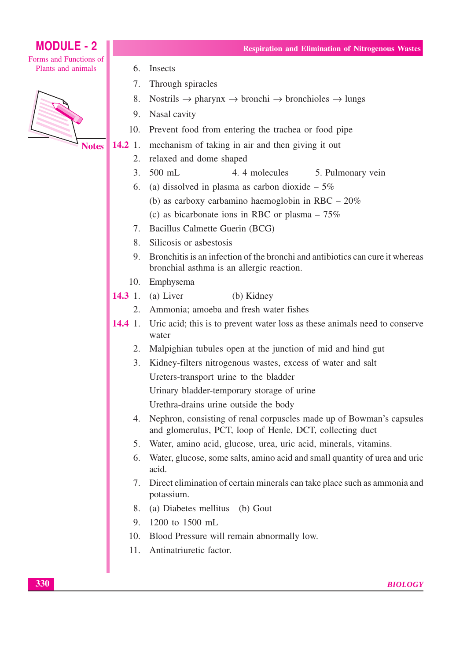Forms and Functions of Plants and animals



**Notes** 

- Insects 6.
- $7<sup>1</sup>$ Through spiracles
- 8. Nostrils  $\rightarrow$  pharynx  $\rightarrow$  bronchi  $\rightarrow$  bronchioles  $\rightarrow$  lungs

**Respiration and Elimination of Nitrogenous Wastes** 

- 9. Nasal cavity
- 10. Prevent food from entering the trachea or food pipe
- $14.2 \; 1.$ mechanism of taking in air and then giving it out
	- $2.$ relaxed and dome shaped
	- $\mathcal{L}$  $500$  mL 4.4 molecules 5. Pulmonary vein
	- 6. (a) dissolved in plasma as carbon dioxide  $-5\%$ 
		- (b) as carboxy carbamino haemoglobin in RBC  $-20\%$
		- (c) as bicarbonate ions in RBC or plasma  $-75\%$
	- 7. Bacillus Calmette Guerin (BCG)
	- 8. Silicosis or asbestosis
	- 9. Bronchitis is an infection of the bronchi and antibiotics can cure it whereas bronchial asthma is an allergic reaction.
	- 10. Emphysema
- $14.3 \t1.$ (a) Liver (b) Kidney
	- Ammonia; amoeba and fresh water fishes 2.
- $14.4 \t1.$ Uric acid; this is to prevent water loss as these animals need to conserve water
	- 2. Malpighian tubules open at the junction of mid and hind gut
	- 3. Kidney-filters nitrogenous wastes, excess of water and salt Ureters-transport urine to the bladder
		- Urinary bladder-temporary storage of urine
		- Urethra-drains urine outside the body
	- 4. Nephron, consisting of renal corpuscles made up of Bowman's capsules and glomerulus, PCT, loop of Henle, DCT, collecting duct
	- $5<sup>1</sup>$ Water, amino acid, glucose, urea, uric acid, minerals, vitamins.
	- 6. Water, glucose, some salts, amino acid and small quantity of urea and uric acid.
	- 7. Direct elimination of certain minerals can take place such as ammonia and potassium.
	- 8. (a) Diabetes mellitus (b) Gout
	- 9. 1200 to 1500 mL
	- 10. Blood Pressure will remain abnormally low.
	- 11. Antinatriuretic factor.